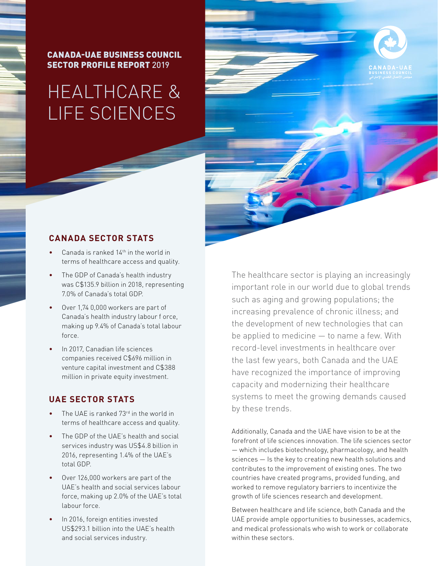CANADA-UAE BUSINESS COUNCIL SECTOR PROFILE REPORT 2019

# HEALTHCARE & LIFE SCIENCES



#### **CANADA SECTOR STATS**

- Canada is ranked  $14<sup>th</sup>$  in the world in terms of healthcare access and quality.
- The GDP of Canada's health industry was C\$135.9 billion in 2018, representing 7.0% of Canada's total GDP.
- Over 1,74 0,000 workers are part of Canada's health industry labour f orce, making up 9.4% of Canada's total labour force.
- In 2017, Canadian life sciences companies received C\$696 million in venture capital investment and C\$388 million in private equity investment.

### **UAE SECTOR STATS**

- The UAE is ranked 73<sup>rd</sup> in the world in terms of healthcare access and quality.
- The GDP of the UAE's health and social services industry was US\$4.8 billion in 2016, representing 1.4% of the UAE's total GDP.
- Over 126,000 workers are part of the UAE's health and social services labour force, making up 2.0% of the UAE's total labour force.
- In 2016, foreign entities invested US\$293.1 billion into the UAE's health and social services industry.

The healthcare sector is playing an increasingly important role in our world due to global trends such as aging and growing populations; the increasing prevalence of chronic illness; and the development of new technologies that can be applied to medicine — to name a few. With record-level investments in healthcare over the last few years, both Canada and the UAE have recognized the importance of improving capacity and modernizing their healthcare systems to meet the growing demands caused by these trends.

Additionally, Canada and the UAE have vision to be at the forefront of life sciences innovation. The life sciences sector — which includes biotechnology, pharmacology, and health sciences — Is the key to creating new health solutions and contributes to the improvement of existing ones. The two countries have created programs, provided funding, and worked to remove regulatory barriers to incentivize the growth of life sciences research and development.

Between healthcare and life science, both Canada and the UAE provide ample opportunities to businesses, academics, and medical professionals who wish to work or collaborate within these sectors.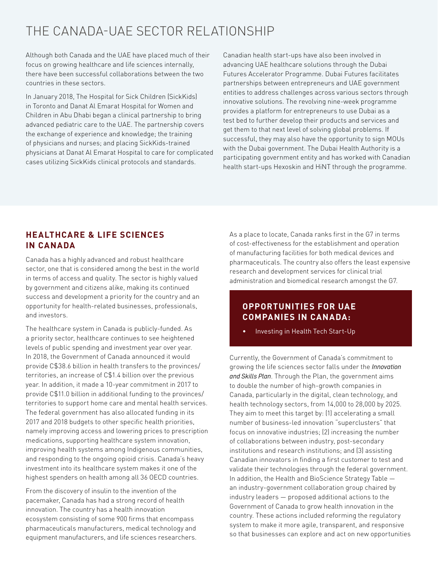# THE CANADA-UAE SECTOR RELATIONSHIP

Although both Canada and the UAE have placed much of their focus on growing healthcare and life sciences internally, there have been successful collaborations between the two countries in these sectors.

In January 2018, The Hospital for Sick Children (SickKids) in Toronto and Danat Al Emarat Hospital for Women and Children in Abu Dhabi began a clinical partnership to bring advanced pediatric care to the UAE. The partnership covers the exchange of experience and knowledge; the training of physicians and nurses; and placing SickKids-trained physicians at Danat Al Emarat Hospital to care for complicated cases utilizing SickKids clinical protocols and standards.

Canadian health start-ups have also been involved in advancing UAE healthcare solutions through the Dubai Futures Accelerator Programme. Dubai Futures facilitates partnerships between entrepreneurs and UAE government entities to address challenges across various sectors through innovative solutions. The revolving nine-week programme provides a platform for entrepreneurs to use Dubai as a test bed to further develop their products and services and get them to that next level of solving global problems. If successful, they may also have the opportunity to sign MOUs with the Dubai government. The Dubai Health Authority is a participating government entity and has worked with Canadian health start-ups Hexoskin and HiNT through the programme.

# **HEALTHCARE & LIFE SCIENCES IN CANADA**

Canada has a highly advanced and robust healthcare sector, one that is considered among the best in the world in terms of access and quality. The sector is highly valued by government and citizens alike, making its continued success and development a priority for the country and an opportunity for health-related businesses, professionals, and investors.

The healthcare system in Canada is publicly-funded. As a priority sector, healthcare continues to see heightened levels of public spending and investment year over year. In 2018, the Government of Canada announced it would provide C\$38.6 billion in health transfers to the provinces/ territories, an increase of C\$1.4 billion over the previous year. In addition, it made a 10-year commitment in 2017 to provide C\$11.0 billion in additional funding to the provinces/ territories to support home care and mental health services. The federal government has also allocated funding in its 2017 and 2018 budgets to other specific health priorities, namely improving access and lowering prices to prescription medications, supporting healthcare system innovation, improving health systems among Indigenous communities, and responding to the ongoing opioid crisis. Canada's heavy investment into its healthcare system makes it one of the highest spenders on health among all 36 OECD countries.

From the discovery of insulin to the invention of the pacemaker, Canada has had a strong record of health innovation. The country has a health innovation ecosystem consisting of some 900 firms that encompass pharmaceuticals manufacturers, medical technology and equipment manufacturers, and life sciences researchers. As a place to locate, Canada ranks first in the G7 in terms of cost-effectiveness for the establishment and operation of manufacturing facilities for both medical devices and pharmaceuticals. The country also offers the least expensive research and development services for clinical trial administration and biomedical research amongst the G7.

# **OPPORTUNITIES FOR UAE COMPANIES IN CANADA:**

• Investing in Health Tech Start-Up

Currently, the Government of Canada's commitment to growing the life sciences sector falls under the *Innovation and Skills Plan*. Through the Plan, the government aims to double the number of high-growth companies in Canada, particularly in the digital, clean technology, and health technology sectors, from 14,000 to 28,000 by 2025. They aim to meet this target by: (1) accelerating a small number of business-led innovation "superclusters" that focus on innovative industries; (2) increasing the number of collaborations between industry, post-secondary institutions and research institutions; and (3) assisting Canadian innovators in finding a first customer to test and validate their technologies through the federal government. In addition, the Health and BioScience Strategy Table an industry-government collaboration group chaired by industry leaders — proposed additional actions to the Government of Canada to grow health innovation in the country. These actions included reforming the regulatory system to make it more agile, transparent, and responsive so that businesses can explore and act on new opportunities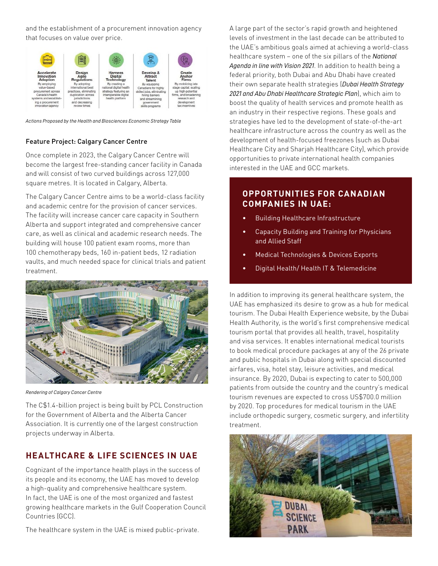and the establishment of a procurement innovation agency that focuses on value over price.



*Actions Proposed by the Health and Biosciences Economic Strategy Table* 

#### Feature Project: Calgary Cancer Centre

Once complete in 2023, the Calgary Cancer Centre will become the largest free-standing cancer facility in Canada and will consist of two curved buildings across 127,000 square metres. It is located in Calgary, Alberta.

The Calgary Cancer Centre aims to be a world-class facility and academic centre for the provision of cancer services. The facility will increase cancer care capacity in Southern Alberta and support integrated and comprehensive cancer care, as well as clinical and academic research needs. The building will house 100 patient exam rooms, more than 100 chemotherapy beds, 160 in-patient beds, 12 radiation vaults, and much needed space for clinical trials and patient treatment.



*Rendering of Calgary Cancer Centre* 

The C\$1.4-billion project is being built by PCL Construction for the Government of Alberta and the Alberta Cancer Association. It is currently one of the largest construction projects underway in Alberta.

# **HEALTHCARE & LIFE SCIENCES IN UAE**

Cognizant of the importance health plays in the success of its people and its economy, the UAE has moved to develop a high-quality and comprehensive healthcare system. In fact, the UAE is one of the most organized and fastest growing healthcare markets in the Gulf Cooperation Council Countries (GCC).

The healthcare system in the UAE is mixed public-private.

A large part of the sector's rapid growth and heightened levels of investment in the last decade can be attributed to the UAE's ambitious goals aimed at achieving a world-class healthcare system – one of the six pillars of the *National Agenda in line with Vision 2021*. In addition to health being a federal priority, both Dubai and Abu Dhabi have created their own separate health strategies (*Dubai Health Strategy 2021 and Abu Dhabi Healthcare Strategic Plan*), which aim to boost the quality of health services and promote health as an industry in their respective regions. These goals and strategies have led to the development of state-of-the-art healthcare infrastructure across the country as well as the development of health-focused freezones (such as Dubai Healthcare City and Sharjah Healthcare City), which provide opportunities to private international health companies interested in the UAE and GCC markets.

# **OPPORTUNITIES FOR CANADIAN COMPANIES IN UAE:**

- Building Healthcare Infrastructure
- Capacity Building and Training for Physicians and Allied Staff
- Medical Technologies & Devices Exports
- Digital Health/ Health IT & Telemedicine

In addition to improving its general healthcare system, the UAE has emphasized its desire to grow as a hub for medical tourism. The Dubai Health Experience website, by the Dubai Health Authority, is the world's first comprehensive medical tourism portal that provides all health, travel, hospitality and visa services. It enables international medical tourists to book medical procedure packages at any of the 26 private and public hospitals in Dubai along with special discounted airfares, visa, hotel stay, leisure activities, and medical insurance. By 2020, Dubai is expecting to cater to 500,000 patients from outside the country and the country's medical tourism revenues are expected to cross US\$700.0 million by 2020. Top procedures for medical tourism in the UAE include orthopedic surgery, cosmetic surgery, and infertility treatment.